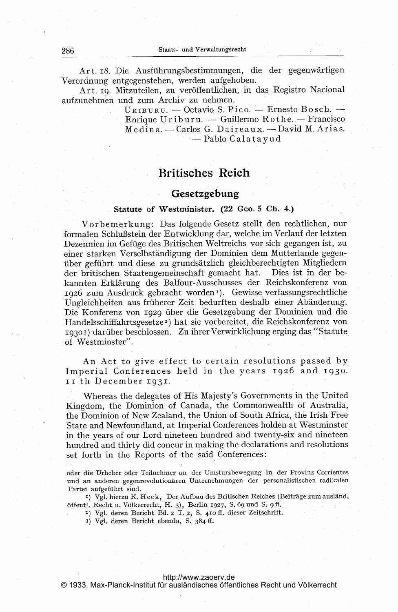Art. 18. Die Ausführungsbestimmungen, die der gegenwärtigen Verordnung entgegenstehen, werden aufgehoben.

Art. 19. Mitzuteilen, zu veröffentlichen, in das Registro Nacional aufzunehmen und zum Archiv zu nehmen.

> URIBURU. — Octavio S. Pico. — Ernesto Bosch. — Enrique Uriburu. — Guillermo Rothe. — Francisco Medina. - Carlos G. Daireaux. - David M. Arias.  $-$  Pablo Calatayud

# Britisches Reich

#### Gesetzgebung

### Statute of Westminister. (22 Geo. 5 Ch. 4.)

Vorbemerkung: Das folgende Gesetz stellt den rechtlichen, nur formalen Schlußstein der Entwicklung dar, welche im Verlauf der letzten Dezennlen im Gefüge des Britischen Weltreichs vor sich gegangen ist, zu einer starken Verselbständigung der Dominien dem Mutterlande gegenüber geführt und diese zu grundsätzlich gleichberechtigten Mitgliedern der britischen Staatengemeinschaft gemacht hat. Dies ist in der bekannten Erklärung des Balfour-Ausschusses der Reichskonferenz von 1926 zum Ausdruck gebracht worden<sup>1</sup>). Gewisse verfassungsrechtliche Ungleichheiten aus früherer Zeit bedurften deshalb einer Abänderung. Die Konferenz von <sup>1929</sup> über die Gesetzgebung der Dominien und die Handelsschiffahrtsgesetzez) hat sie vorbereitet, die Reichskonferenz von 19303) darüber beschlossen. Zu ihrer Verwirklichung erging das "Statute of Westminster".

An Act to give effect to certain resolutions passed by Imperial Conferences held in the years 1926 and 1930 ii th December 1931.

Whereas the delegates of His Majesty's Governments in the United Kingdom, the Dominion of Canada, the Commonwealth of Australia, the Dominion of New Zealand, the Union of South Africa, the Irish Free State and Newfoundland, at Imperial Conferences holden at Westminster in the years of our Lord nineteen hundred and twenty-six and nineteen hundred and thirty did concur in making the declarations and resolutions set forth in the Reports of the said Conferences:

1) Vgl. hierzu K. Heck, Der Aufbau des Britischen Reiches (Beiträge zum ausländ. öffentl. Recht u. Völkerrecht, H. 3), Berlin 1927, S. 69 und S. <sup>9</sup> ff

2) Vgl. deren Bericht Bd. 2 T. 2, S. 410 ff. dieser Zeitschrift.

3) Vgl. deren Bericht ebenda, S. 384 ff-

#### <http://www.zaoerv.de>

© 1933, Max-Planck-Institut für ausländisches öffentliches Recht und Völkerrecht

oder die Urheber oder Teilnehmer an der Umsturzbewegung in der Provinz Corrientes und an anderen gegenrevolutionären Unternehmungen der personalistischen radikalen Partei aufgeführt sind.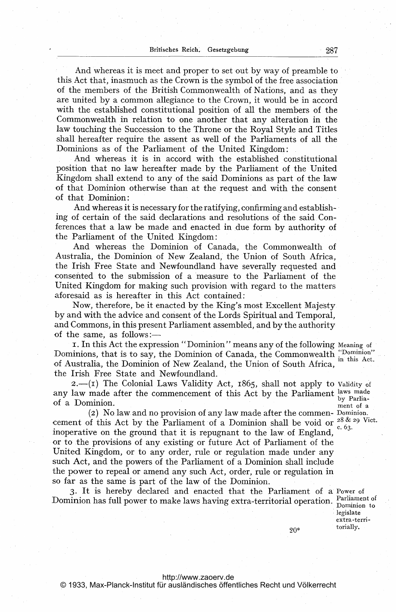And whereas it is meet and proper to set out by way of preamble to this Act that, inasmuch as the Crown is the symbol of the free association of the members of the British Commonwealth of Nations, and as they are united by <sup>a</sup> common allegiance to the Crown, it would be in accord with the established constitutional position of all the members of the Commonwealth in relation to one another that any alteration in the law touching the Succession to the Throne or the Royal Style and Titles shall hereafter require the assent as well of the Parliaments of all the Dominions as of the Parliament of the United Kingdom:

And whereas it is in accord with the established constitutional position that no law hereafter made by the Parliament of the United Kingdom shall extend to any of the said Dominions as part of the law of that Dominion otherwise than at the request and with the'consent of that Dominion:

And whereas it is necessary for the ratifying, confirming and establishing of certain of the said declarations and resolutions of the said. Conferences that <sup>a</sup> law be made and enacted in due form by authority of the Parliament of the United Kingdom:

And whereas the Dominion of Canada, the Commonwealth of Australia, the Dominion of New Zealand, the Union of South Africa, the Irish Free State and Newfoundland have severally requested and consented to the submission of a measure to the Parliament of the United Kingdom for making such provision with regard to the matters aforesaid as is hereafter in this Act contained:

Now, therefore, be it enacted by the King's most Excellent Majesty by and with the advice and consent of the Lords Spiritual and Temporal, and Commons, in this present Parliament assembled, and by the authority of the same, as follows:-

I. In this Act the expression "Dominion" means any of the following Meaning of Dominions, that is to say, the Dominion of Canada, the Commonwealth "Dominion" of Australia, the Dominion of New Zealand, the Union of South Africa, the Irish Free State and Newfoundland.

2.-(1) The Colonial Laws Validity Act, 1865, shall not apply to Validity of any law made after the commencement of this Act by the Parliament laws made by Parlia-<br>of a Dominion.

(2) No, law and no provision of any law made after the commen- Dominion. cement of this Act by the Parliament of a Dominion shall be void or  $28 \& 29$  Vict. inoperative on the ground that it is repugnant to the law of England, or to the provisions of any existing or future Act of Parliament of the United Kingdom, or to any order, rule or regulation made under any such Act, and the powers of the Parliament of <sup>a</sup> Dominion shall include the power to repeal or amend any such Act, order, rule or regulation in so far as the same is part of the law of the Dominion.

3- It is hereby declared and enacted that the Parliament of a Power of Dominion has full power to make laws having extra-territorial operation. Parliament of

legislate  $\,$ extra-terri-

 $20^*$  torially.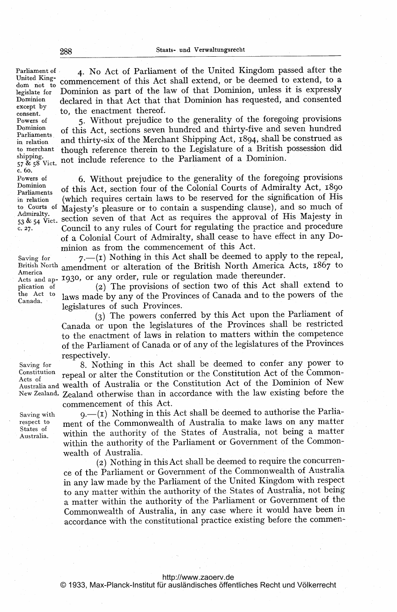except by c. 6o.

Parliament of 4. No Act of Parliament of the United Kingdom passed after the United King-<br>United King-<br>United King- commencement of this Act shall extend, or be deemed to extend, to a<br>legislate for Dominion as part of the legislate for Dominion as part of the law of that Dominion, unless it is expressly Dominion declared in that Act that that Dominion has requested, and consented

 $\frac{c_1}{c_2}$  (to, the enactment thereof.<br>Powers of  $\frac{c_1}{c_2}$ . Without prejudice to the generality of the foregoing provisions Powers of 5. Without prejudice to the generality of the foregoing provisions Dominion<br>Dominion of this Act, sections seven hundred and thirty-five and seven hundred<br>Parliaments in relation and thirty-six of the Merchant Shipping Act, 1894, shall be construed as to merchant though reference therein to the Legislature of a British possession did<br>shipping. not include reference to the Parliament of a Dominion supping.  $57 \& 58$  Vict. not include reference to the Parliament of a Dominion.

Powers of 6. Without prejudice to the generality of the foregoing provisions Dominion and the continue of the Colonial Courts of Admiralty Act, 1800 Parliaments of this Act, section four of the Colonial Courts of Admiralty Act, 18go in relation (which requires certain laws to be reserved for the signification of His to Courts of Majesty's pleasure or to contain <sup>a</sup> suspending clause), and so much of Admiralty. section seven of that Act as requires the approval of His Majesty in <sup>53</sup> & <sup>54</sup> Vict.  $\tilde{c}$ . 27. Council to any rules of Court for regulating the practice and procedure of a Colonial Court of Admiralty, shall cease to have effect in any Dominion as from the commencement of this Act.

Saving for  $7.$  (1) Nothing in this Act shall be deemed to apply to the repeal, British North America Acts. 1867 to British North amendment or alteration of the British North America Acts, 1867 to America America<br>Acts and ap- 1930, or any order, rule or regulation made thereunder.

plication of (2) The provisions of section two of this Act shall extend to the Act to laws made by any of the Provinces of Canada and to the powers of the Canada. legislatures of such Provinces.

(3) The powers conferred by this Act upon the Parliament of Canada or upon the legislatures of the Provinces shall be restricted to the enactment of laws in relation to matters within the competence of the Parliament of Canada or of any of the legislatures of the Provinces respectively.

Saving for 8. Nothing in this Act shall be deemed to confer any power to Constitution argues and conference of the Constitution Act of the Common-Constitution repeal or alter the Constitution or the Constitution Act of the Common- Acts of Australiaand wealth of Australia or the Constitution Act of the Dominion of New NewZealand. Zealand otherwise than in accordance with the law existing before the commencement of this Act.

Saving with 9. $-(1)$  Nothing in this Act shall be deemed to authorise the Parliarespect to ment of the Commonwealth of Australia to make laws on any matter States of the Commonwealth of the States of Australia not being a matter Australia. within the authority of the States of Australia, not being a matter within the authority of the Parliament or Government of the Commonwealth of Australia.

(2) Nothing in this Act shall be deemed to require the concurrence of the Parliament or Government of the Commonwealth of Australia, in any law made by the Parliament of the United Kingdom with respect to any matter within the authority of the States of Australia, not being a matter within the authority of the Parliament or Government of the Commonwealth of Australia, in any case where it would have been in accordance with the constitutional practice existing before the commen-

[http://www.zaoerv.de](commen-http://www.zaoerv.de)

© 1933, Max-Planck-Institut für ausländisches öffentliches Recht und Völkerrecht